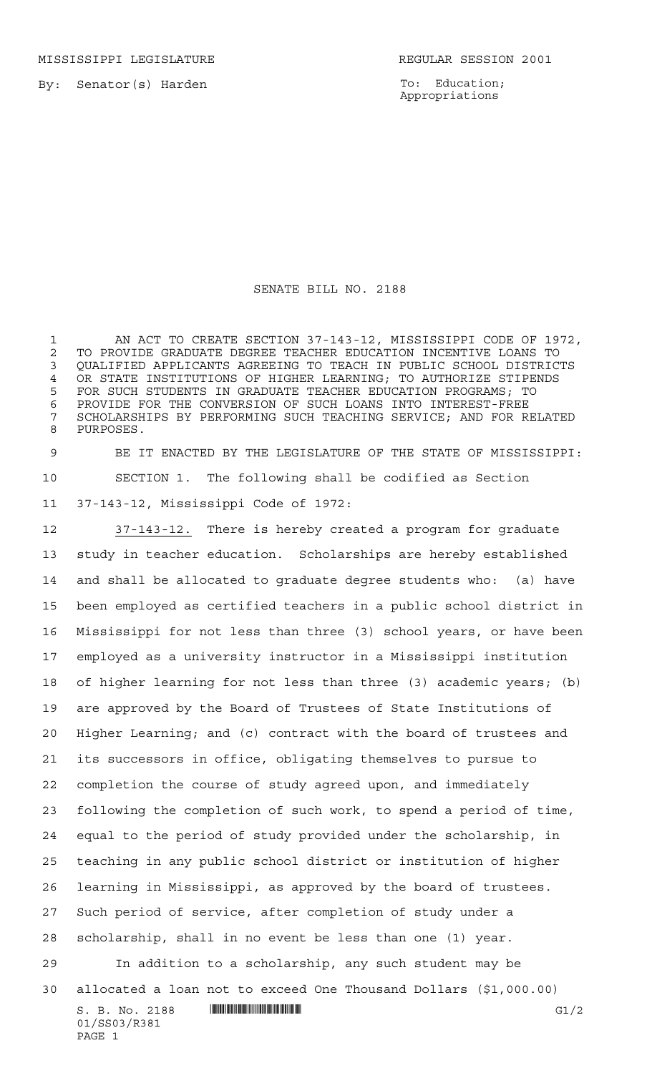MISSISSIPPI LEGISLATURE **REGULAR SESSION 2001** 

01/SS03/R381

PAGE 1

To: Education; Appropriations

## SENATE BILL NO. 2188

 AN ACT TO CREATE SECTION 37-143-12, MISSISSIPPI CODE OF 1972, 2 TO PROVIDE GRADUATE DEGREE TEACHER EDUCATION INCENTIVE LOANS TO<br>3 OUALIFIED APPLICANTS AGREEING TO TEACH IN PUBLIC SCHOOL DISTRICT QUALIFIED APPLICANTS AGREEING TO TEACH IN PUBLIC SCHOOL DISTRICTS OR STATE INSTITUTIONS OF HIGHER LEARNING; TO AUTHORIZE STIPENDS FOR SUCH STUDENTS IN GRADUATE TEACHER EDUCATION PROGRAMS; TO PROVIDE FOR THE CONVERSION OF SUCH LOANS INTO INTEREST-FREE SCHOLARSHIPS BY PERFORMING SUCH TEACHING SERVICE; AND FOR RELATED PURPOSES.

 BE IT ENACTED BY THE LEGISLATURE OF THE STATE OF MISSISSIPPI: SECTION 1. The following shall be codified as Section 37-143-12, Mississippi Code of 1972:

 $S. B. No. 2188$  **INNIFICALLY EXAMPLE ASSESSED ASSESSED ASSESSED ASSESS**  37-143-12. There is hereby created a program for graduate study in teacher education. Scholarships are hereby established and shall be allocated to graduate degree students who: (a) have been employed as certified teachers in a public school district in Mississippi for not less than three (3) school years, or have been employed as a university instructor in a Mississippi institution of higher learning for not less than three (3) academic years; (b) are approved by the Board of Trustees of State Institutions of Higher Learning; and (c) contract with the board of trustees and its successors in office, obligating themselves to pursue to completion the course of study agreed upon, and immediately following the completion of such work, to spend a period of time, equal to the period of study provided under the scholarship, in teaching in any public school district or institution of higher learning in Mississippi, as approved by the board of trustees. Such period of service, after completion of study under a scholarship, shall in no event be less than one (1) year. In addition to a scholarship, any such student may be allocated a loan not to exceed One Thousand Dollars (\$1,000.00)